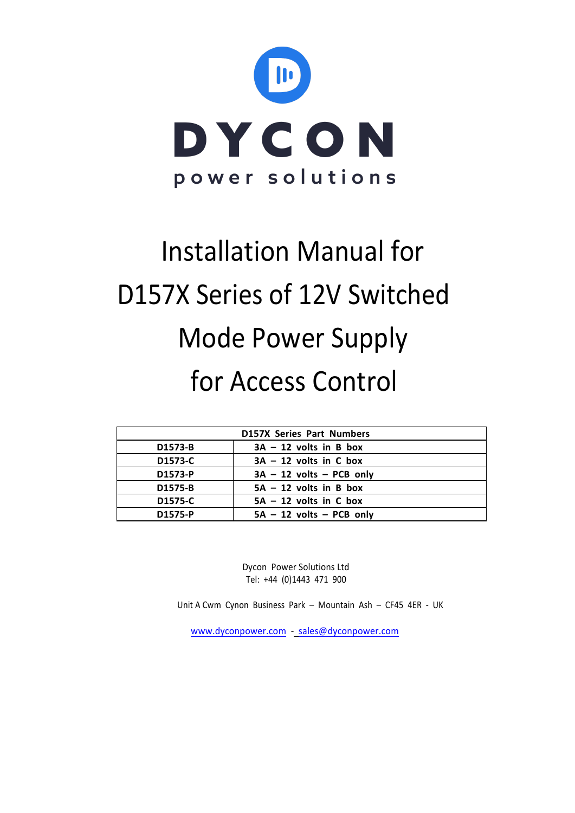

# Installation Manual for D157X Series of 12V Switched Mode Power Supply for Access Control

| <b>D157X Series Part Numbers</b> |                            |  |  |  |
|----------------------------------|----------------------------|--|--|--|
| D1573-B                          | $3A - 12$ volts in B box   |  |  |  |
| D1573-C                          | $3A - 12$ volts in C box   |  |  |  |
| D1573-P                          | $3A - 12$ volts - PCB only |  |  |  |
| D1575-B                          | $5A - 12$ volts in B box   |  |  |  |
| D1575-C                          | $5A - 12$ volts in C box   |  |  |  |
| D1575-P                          | $5A - 12$ volts - PCB only |  |  |  |

Dycon Power Solutions Ltd Tel: +44 (0)1443 471 900

Unit A Cwm Cynon Business Park – Mountain Ash – CF45 4ER - UK

www.dyconpower.com - sales@dyconpower.com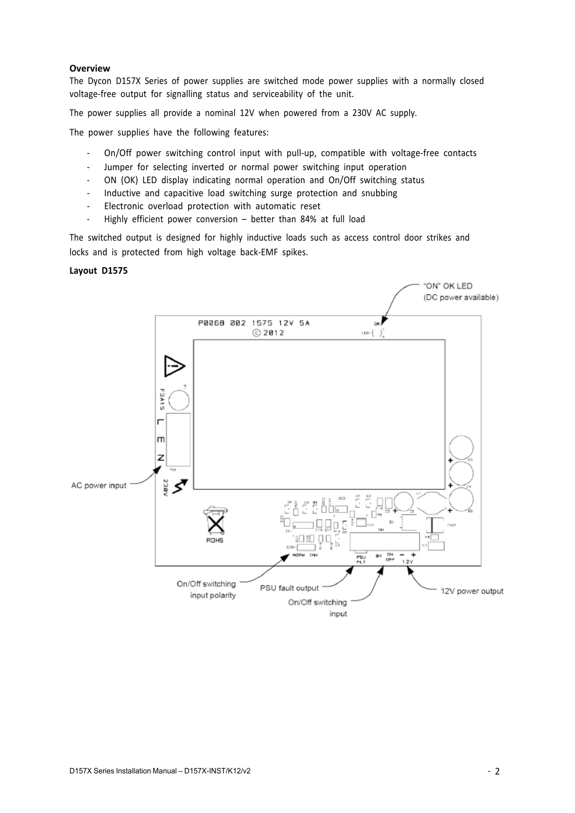## **Overview**

The Dycon D157X Series of power supplies are switched mode power supplies with a normally closed voltage-free output for signalling status and serviceability of the unit.

The power supplies all provide a nominal 12V when powered from a 230V AC supply.

The power supplies have the following features:

- On/Off power switching control input with pull-up, compatible with voltage-free contacts
- Jumper for selecting inverted or normal power switching input operation
- ON (OK) LED display indicating normal operation and On/Off switching status
- Inductive and capacitive load switching surge protection and snubbing
- Electronic overload protection with automatic reset
- Highly efficient power conversion better than 84% at full load

The switched output is designed for highly inductive loads such as access control door strikes and locks and is protected from high voltage back-EMF spikes.

#### **Layout D1575**

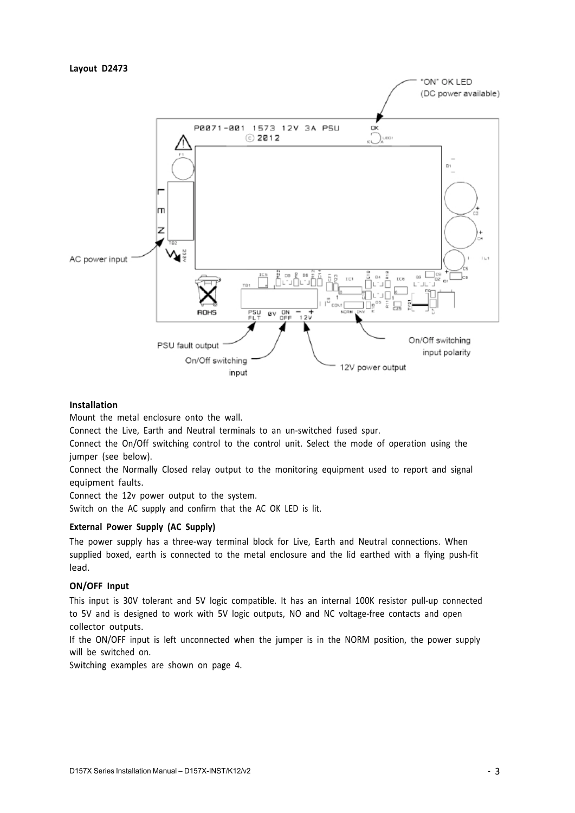## **Layout D2473**



## **Installation**

Mount the metal enclosure onto the wall.

Connect the Live, Earth and Neutral terminals to an un-switched fused spur.

Connect the On/Off switching control to the control unit. Select the mode of operation using the jumper (see below).

Connect the Normally Closed relay output to the monitoring equipment used to report and signal equipment faults.

Connect the 12v power output to the system.

Switch on the AC supply and confirm that the AC OK LED is lit.

# **External Power Supply (AC Supply)**

The power supply has a three-way terminal block for Live, Earth and Neutral connections. When supplied boxed, earth is connected to the metal enclosure and the lid earthed with a flying push-fit lead.

## **ON/OFF Input**

This input is 30V tolerant and 5V logic compatible. It has an internal 100K resistor pull-up connected to 5V and is designed to work with 5V logic outputs, NO and NC voltage-free contacts and open collector outputs.

If the ON/OFF input is left unconnected when the jumper is in the NORM position, the power supply will be switched on.

Switching examples are shown on page 4.